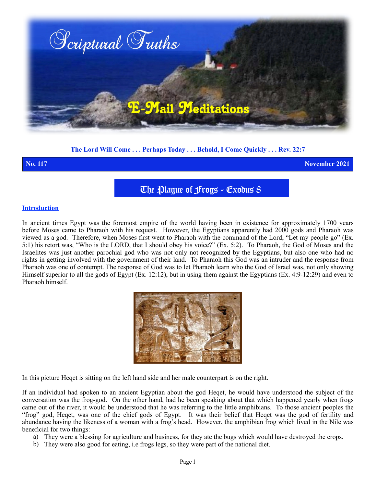

**The Lord Will Come . . . Perhaps Today . . . Behold, I Come Quickly . . . Rev. 22:7**

**No. 117 November 2021**

The Plague of Frogs - Exodus 8

### **Introduction**

In ancient times Egypt was the foremost empire of the world having been in existence for approximately 1700 years before Moses came to Pharaoh with his request. However, the Egyptians apparently had 2000 gods and Pharaoh was viewed as a god. Therefore, when Moses first went to Pharaoh with the command of the Lord, "Let my people go" (Ex. 5:1) his retort was, "Who is the LORD, that I should obey his voice?" (Ex. 5:2). To Pharaoh, the God of Moses and the Israelites was just another parochial god who was not only not recognized by the Egyptians, but also one who had no rights in getting involved with the government of their land. To Pharaoh this God was an intruder and the response from Pharaoh was one of contempt. The response of God was to let Pharaoh learn who the God of Israel was, not only showing Himself superior to all the gods of Egypt (Ex. 12:12), but in using them against the Egyptians (Ex. 4:9-12:29) and even to Pharaoh himself.



In this picture Heqet is sitting on the left hand side and her male counterpart is on the right.

If an individual had spoken to an ancient Egyptian about the god Heqet, he would have understood the subject of the conversation was the frog-god. On the other hand, had he been speaking about that which happened yearly when frogs came out of the river, it would be understood that he was referring to the little amphibians. To those ancient peoples the "frog" god, Heqet, was one of the chief gods of Egypt. It was their belief that Heqet was the god of fertility and abundance having the likeness of a woman with a frog's head. However, the amphibian frog which lived in the Nile was beneficial for two things:

- a) They were a blessing for agriculture and business, for they ate the bugs which would have destroyed the crops.
- b) They were also good for eating, i.e frogs legs, so they were part of the national diet.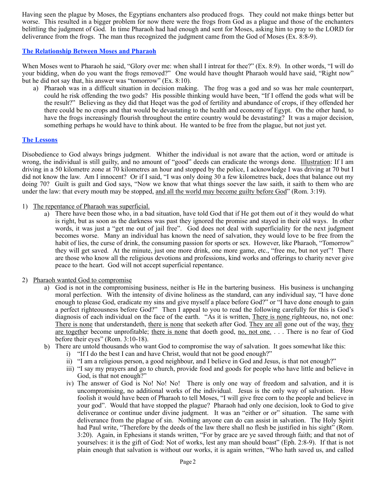Having seen the plague by Moses, the Egyptians enchanters also produced frogs. They could not make things better but worse. This resulted in a bigger problem for now there were the frogs from God as a plague and those of the enchanters belittling the judgment of God. In time Pharaoh had had enough and sent for Moses, asking him to pray to the LORD for deliverance from the frogs. The man thus recognized the judgment came from the God of Moses (Ex. 8:8-9).

## **The Relationship Between Moses and Pharaoh**

When Moses went to Pharaoh he said, "Glory over me: when shall I intreat for thee?" (Ex. 8:9). In other words, "I will do your bidding, when do you want the frogs removed?" One would have thought Pharaoh would have said, "Right now" but he did not say that, his answer was "tomorrow" (Ex. 8:10).

a) Pharaoh was in a difficult situation in decision making. The frog was a god and so was her male counterpart, could he risk offending the two gods? His possible thinking would have been, "If I offend the gods what will be the result?" Believing as they did that Heqet was the god of fertility and abundance of crops, if they offended her there could be no crops and that would be devastating to the health and economy of Egypt. On the other hand, to have the frogs increasingly flourish throughout the entire country would be devastating? It was a major decision, something perhaps he would have to think about. He wanted to be free from the plague, but not just yet.

### **The Lessons**

Disobedience to God always brings judgment. Whither the individual is not aware that the action, word or attitude is wrong, the individual is still guilty, and no amount of "good" deeds can eradicate the wrongs done. Illustration: If I am driving in a 50 kilometre zone at 70 kilometres an hour and stopped by the police, I acknowledge I was driving at 70 but I did not know the law. Am I innocent? Or if I said, "I was only doing 30 a few kilometres back, does that balance out my doing 70? Guilt is guilt and God says, "Now we know that what things soever the law saith, it saith to them who are under the law: that every mouth may be stopped, and all the world may become guilty before God" (Rom. 3:19).

### 1) The repentance of Pharaoh was superficial.

a) There have been those who, in a bad situation, have told God that if He got them out of it they would do what is right, but as soon as the darkness was past they ignored the promise and stayed in their old ways. In other words, it was just a "get me out of jail free". God does not deal with superficiality for the next judgment becomes worse. Many an individual has known the need of salvation, they would love to be free from the habit of lies, the curse of drink, the consuming passion for sports or sex. However, like Pharaoh, "Tomorrow" they will get saved. At the minute, just one more drink, one more game, etc., "free me, but not yet"! There are those who know all the religious devotions and professions, kind works and offerings to charity never give peace to the heart. God will not accept superficial repentance.

### 2) Pharaoh wanted God to compromise

- a) God is not in the compromising business, neither is He in the bartering business. His business is unchanging moral perfection. With the intensity of divine holiness as the standard, can any individual say, "I have done enough to please God, eradicate my sins and give myself a place before God?" or "I have done enough to gain a perfect righteousness before God?" Then I appeal to you to read the following carefully for this is God's diagnosis of each individual on the face of the earth. "As it is written, There is none righteous, no, not one: There is none that understandeth, there is none that seeketh after God. They are all gone out of the way, they are together become unprofitable; there is none that doeth good, no, not one. . . . There is no fear of God before their eyes" (Rom. 3:10-18).
- b) There are untold thousands who want God to compromise the way of salvation. It goes somewhat like this:
	- i) "If I do the best I can and have Christ, would that not be good enough?"
	- ii) "I am a religious person, a good neighbour, and I believe in God and Jesus, is that not enough?"
	- iii) "I say my prayers and go to church, provide food and goods for people who have little and believe in God, is that not enough?"
	- iv) The answer of God is No! No! No! There is only one way of freedom and salvation, and it is uncompromising, no additional works of the individual. Jesus is the only way of salvation. How foolish it would have been of Pharaoh to tell Moses, "I will give free corn to the people and believe in your god". Would that have stopped the plague? Pharaoh had only one decision, look to God to give deliverance or continue under divine judgment. It was an "either or or" situation. The same with deliverance from the plague of sin. Nothing anyone can do can assist in salvation. The Holy Spirit had Paul write, "Therefore by the deeds of the law there shall no flesh be justified in his sight" (Rom. 3:20). Again, in Ephesians it stands written, "For by grace are ye saved through faith; and that not of yourselves: it is the gift of God: Not of works, lest any man should boast" (Eph. 2:8-9). If that is not plain enough that salvation is without our works, it is again written, "Who hath saved us, and called